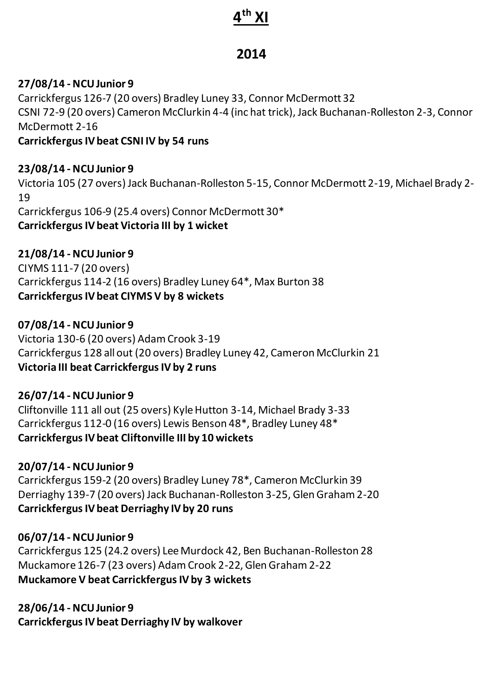# **4 th XI**

## **2014**

### **27/08/14 - NCU Junior 9**

Carrickfergus 126-7 (20 overs) Bradley Luney 33, Connor McDermott 32 CSNI 72-9 (20 overs) Cameron McClurkin 4-4 (inc hat trick), Jack Buchanan-Rolleston 2-3, Connor McDermott 2-16 **Carrickfergus IV beat CSNI IV by 54 runs**

**23/08/14 - NCU Junior 9** Victoria 105 (27 overs) Jack Buchanan-Rolleston 5-15, Connor McDermott 2-19, Michael Brady 2- 19 Carrickfergus 106-9 (25.4 overs) Connor McDermott 30\* **Carrickfergus IV beat Victoria III by 1 wicket**

**21/08/14 - NCU Junior 9** CIYMS 111-7 (20 overs) Carrickfergus 114-2 (16 overs) Bradley Luney 64\*, Max Burton 38 **Carrickfergus IV beat CIYMS V by 8 wickets**

**07/08/14 - NCU Junior 9** Victoria 130-6 (20 overs) Adam Crook 3-19 Carrickfergus 128 all out (20 overs) Bradley Luney 42, Cameron McClurkin 21 **Victoria III beat Carrickfergus IV by 2 runs**

**26/07/14 - NCU Junior 9** Cliftonville 111 all out (25 overs) Kyle Hutton 3-14, Michael Brady 3-33 Carrickfergus 112-0 (16 overs) Lewis Benson 48\*, Bradley Luney 48\* **Carrickfergus IV beat Cliftonville III by 10 wickets**

**20/07/14 - NCU Junior 9** Carrickfergus 159-2 (20 overs) Bradley Luney 78\*, Cameron McClurkin 39 Derriaghy 139-7 (20 overs) Jack Buchanan-Rolleston 3-25, Glen Graham 2-20 **Carrickfergus IV beat Derriaghy IV by 20 runs**

#### **06/07/14 - NCU Junior 9**

Carrickfergus 125 (24.2 overs) Lee Murdock 42, Ben Buchanan-Rolleston 28 Muckamore 126-7 (23 overs) Adam Crook 2-22, Glen Graham 2-22 **Muckamore V beat Carrickfergus IV by 3 wickets**

**28/06/14 - NCU Junior 9 Carrickfergus IV beat Derriaghy IV by walkover**